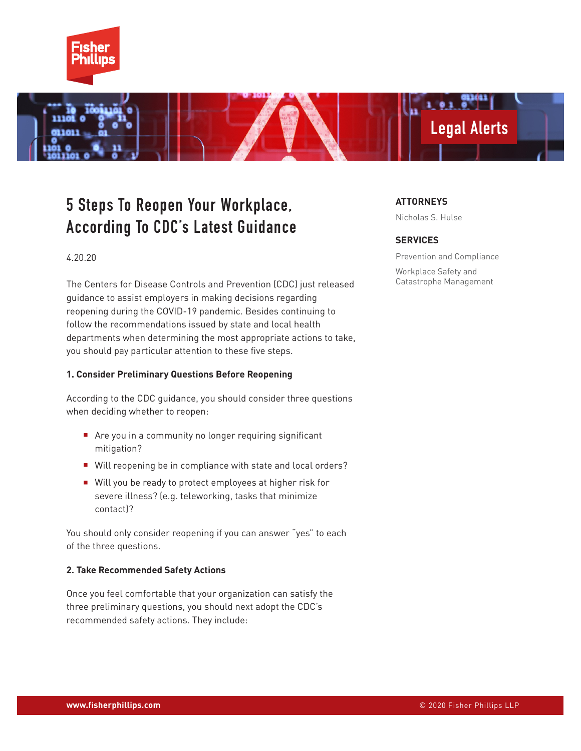

# Legal Alerts

**O** 1

# 5 Steps To Reopen Your Workplace, According To CDC's Latest Guidance

#### 4.20.20

The Centers for Disease Controls and Prevention (CDC) just released guidance to assist employers in making decisions regarding reopening during the COVID-19 pandemic. Besides continuing to follow the recommendations issued by state and local health departments when determining the most appropriate actions to take, you should pay particular attention to these five steps.

#### **1. Consider Preliminary Questions Before Reopening**

According to the CDC guidance, you should consider three questions when deciding whether to reopen:

- Are you in a community no longer requiring significant mitigation?
- Will reopening be in compliance with state and local orders?
- Will you be ready to protect employees at higher risk for severe illness? (e.g. teleworking, tasks that minimize contact)?

You should only consider reopening if you can answer "yes" to each of the three questions.

#### **2. Take Recommended Safety Actions**

Once you feel comfortable that your organization can satisfy the three preliminary questions, you should next adopt the CDC's recommended safety actions. They include:

#### **ATTORNEYS**

Nicholas S. Hulse

#### **SERVICES**

Prevention and Compliance

Workplace Safety and Catastrophe Management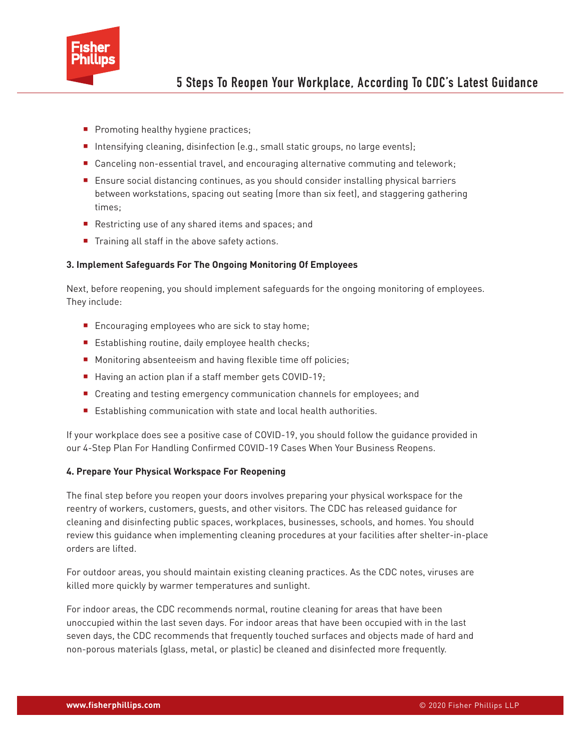

- Promoting healthy hygiene practices;
- Intensifying cleaning, disinfection (e.g., small static groups, no large events);
- Canceling non-essential travel, and encouraging alternative commuting and telework;
- Ensure social distancing continues, as you should consider installing physical barriers between workstations, spacing out seating (more than six feet), and staggering gathering times;
- Restricting use of any shared items and spaces; and
- Training all staff in the above safety actions.

#### **3. Implement Safeguards For The Ongoing Monitoring Of Employees**

Next, before reopening, you should implement safeguards for the ongoing monitoring of employees. They include:

- Encouraging employees who are sick to stay home;
- Establishing routine, daily employee health checks;
- Monitoring absenteeism and having flexible time off policies;
- Having an action plan if a staff member gets COVID-19;
- Creating and testing emergency communication channels for employees; and
- Establishing communication with state and local health authorities.

If your workplace does see a positive case of COVID-19, you should follow the guidance provided in our 4-Step Plan For Handling Confirmed COVID-19 Cases When Your Business Reopens.

#### **4. Prepare Your Physical Workspace For Reopening**

The final step before you reopen your doors involves preparing your physical workspace for the reentry of workers, customers, guests, and other visitors. The CDC has released guidance for cleaning and disinfecting public spaces, workplaces, businesses, schools, and homes. You should review this guidance when implementing cleaning procedures at your facilities after shelter-in-place orders are lifted.

For outdoor areas, you should maintain existing cleaning practices. As the CDC notes, viruses are killed more quickly by warmer temperatures and sunlight.

For indoor areas, the CDC recommends normal, routine cleaning for areas that have been unoccupied within the last seven days. For indoor areas that have been occupied with in the last seven days, the CDC recommends that frequently touched surfaces and objects made of hard and non-porous materials (glass, metal, or plastic) be cleaned and disinfected more frequently.